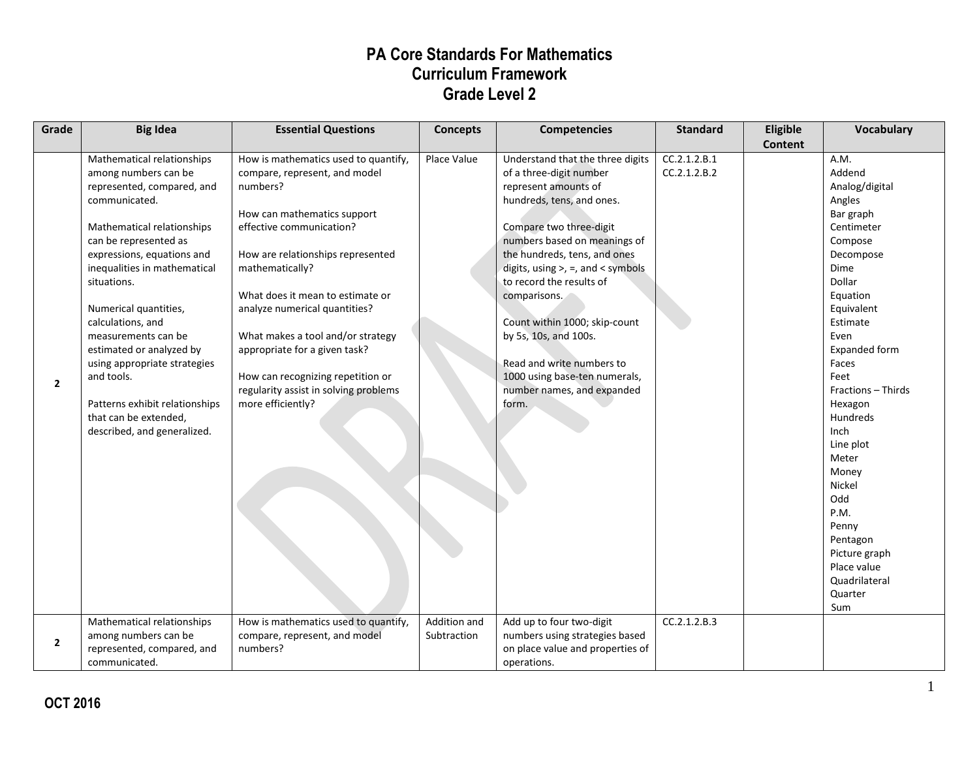| Grade        | <b>Big Idea</b>                                                                                                                                                                                                                                                                                                                                                                                                                                                                | <b>Essential Questions</b>                                                                                                                                                                                                                                                                                                                                                                                                                         | <b>Concepts</b>             | <b>Competencies</b>                                                                                                                                                                                                                                                                                                                                                                                                                                            | <b>Standard</b>              | Eligible<br><b>Content</b> | <b>Vocabulary</b>                                                                                                                                                                                                                                                                                                                                                                                    |
|--------------|--------------------------------------------------------------------------------------------------------------------------------------------------------------------------------------------------------------------------------------------------------------------------------------------------------------------------------------------------------------------------------------------------------------------------------------------------------------------------------|----------------------------------------------------------------------------------------------------------------------------------------------------------------------------------------------------------------------------------------------------------------------------------------------------------------------------------------------------------------------------------------------------------------------------------------------------|-----------------------------|----------------------------------------------------------------------------------------------------------------------------------------------------------------------------------------------------------------------------------------------------------------------------------------------------------------------------------------------------------------------------------------------------------------------------------------------------------------|------------------------------|----------------------------|------------------------------------------------------------------------------------------------------------------------------------------------------------------------------------------------------------------------------------------------------------------------------------------------------------------------------------------------------------------------------------------------------|
| $\mathbf{2}$ | Mathematical relationships<br>among numbers can be<br>represented, compared, and<br>communicated.<br>Mathematical relationships<br>can be represented as<br>expressions, equations and<br>inequalities in mathematical<br>situations.<br>Numerical quantities,<br>calculations, and<br>measurements can be<br>estimated or analyzed by<br>using appropriate strategies<br>and tools.<br>Patterns exhibit relationships<br>that can be extended,<br>described, and generalized. | How is mathematics used to quantify,<br>compare, represent, and model<br>numbers?<br>How can mathematics support<br>effective communication?<br>How are relationships represented<br>mathematically?<br>What does it mean to estimate or<br>analyze numerical quantities?<br>What makes a tool and/or strategy<br>appropriate for a given task?<br>How can recognizing repetition or<br>regularity assist in solving problems<br>more efficiently? | Place Value                 | Understand that the three digits<br>of a three-digit number<br>represent amounts of<br>hundreds, tens, and ones.<br>Compare two three-digit<br>numbers based on meanings of<br>the hundreds, tens, and ones<br>digits, using $>$ , =, and < symbols<br>to record the results of<br>comparisons.<br>Count within 1000; skip-count<br>by 5s, 10s, and 100s.<br>Read and write numbers to<br>1000 using base-ten numerals,<br>number names, and expanded<br>form. | CC.2.1.2.B.1<br>CC.2.1.2.B.2 |                            | A.M.<br>Addend<br>Analog/digital<br>Angles<br>Bar graph<br>Centimeter<br>Compose<br>Decompose<br>Dime<br>Dollar<br>Equation<br>Equivalent<br>Estimate<br>Even<br>Expanded form<br>Faces<br>Feet<br>Fractions - Thirds<br>Hexagon<br>Hundreds<br>Inch<br>Line plot<br>Meter<br>Money<br>Nickel<br>Odd<br>P.M.<br>Penny<br>Pentagon<br>Picture graph<br>Place value<br>Quadrilateral<br>Quarter<br>Sum |
| $\mathbf{2}$ | Mathematical relationships<br>among numbers can be<br>represented, compared, and<br>communicated.                                                                                                                                                                                                                                                                                                                                                                              | How is mathematics used to quantify,<br>compare, represent, and model<br>numbers?                                                                                                                                                                                                                                                                                                                                                                  | Addition and<br>Subtraction | Add up to four two-digit<br>numbers using strategies based<br>on place value and properties of<br>operations.                                                                                                                                                                                                                                                                                                                                                  | CC.2.1.2.B.3                 |                            |                                                                                                                                                                                                                                                                                                                                                                                                      |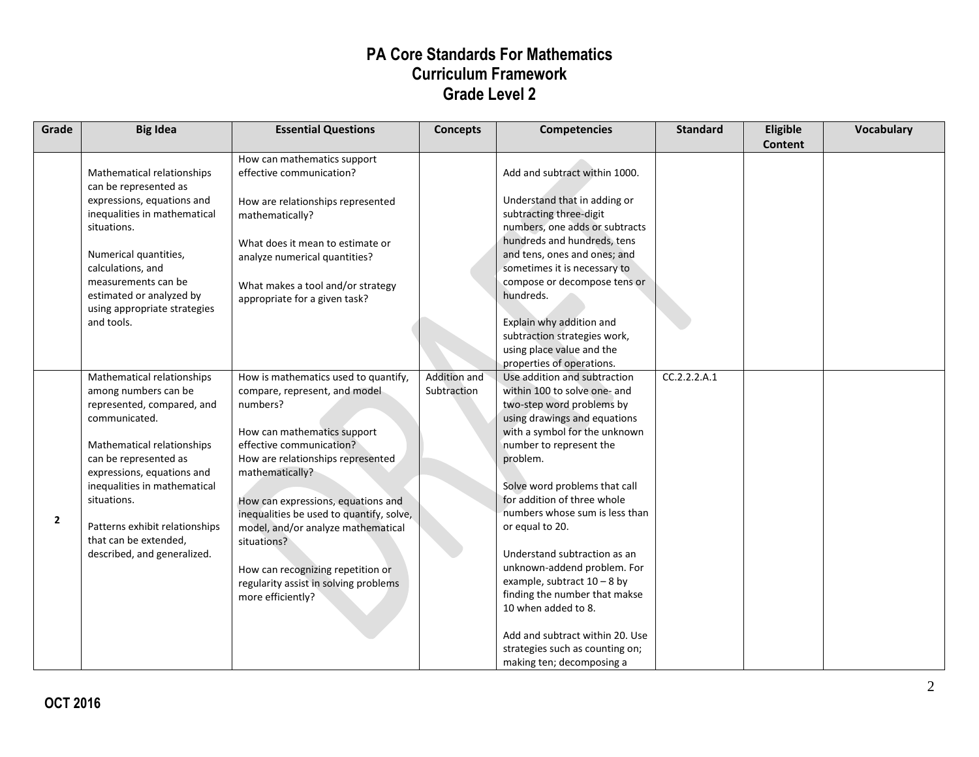| Grade          | <b>Big Idea</b>                                                                                                                                                                                                                                                                                                                 | <b>Essential Questions</b>                                                                                                                                                                                                                                                                                                                                                                                                                     | <b>Concepts</b>             | <b>Competencies</b>                                                                                                                                                                                                                                                                                                                                                                                                                                                                                                                                                               | <b>Standard</b> | Eligible<br>Content | Vocabulary |
|----------------|---------------------------------------------------------------------------------------------------------------------------------------------------------------------------------------------------------------------------------------------------------------------------------------------------------------------------------|------------------------------------------------------------------------------------------------------------------------------------------------------------------------------------------------------------------------------------------------------------------------------------------------------------------------------------------------------------------------------------------------------------------------------------------------|-----------------------------|-----------------------------------------------------------------------------------------------------------------------------------------------------------------------------------------------------------------------------------------------------------------------------------------------------------------------------------------------------------------------------------------------------------------------------------------------------------------------------------------------------------------------------------------------------------------------------------|-----------------|---------------------|------------|
|                | Mathematical relationships<br>can be represented as<br>expressions, equations and<br>inequalities in mathematical<br>situations.<br>Numerical quantities,<br>calculations, and<br>measurements can be<br>estimated or analyzed by<br>using appropriate strategies<br>and tools.                                                 | How can mathematics support<br>effective communication?<br>How are relationships represented<br>mathematically?<br>What does it mean to estimate or<br>analyze numerical quantities?<br>What makes a tool and/or strategy<br>appropriate for a given task?                                                                                                                                                                                     |                             | Add and subtract within 1000.<br>Understand that in adding or<br>subtracting three-digit<br>numbers, one adds or subtracts<br>hundreds and hundreds, tens<br>and tens, ones and ones; and<br>sometimes it is necessary to<br>compose or decompose tens or<br>hundreds.<br>Explain why addition and<br>subtraction strategies work,<br>using place value and the<br>properties of operations.                                                                                                                                                                                      |                 |                     |            |
| $\overline{2}$ | Mathematical relationships<br>among numbers can be<br>represented, compared, and<br>communicated.<br>Mathematical relationships<br>can be represented as<br>expressions, equations and<br>inequalities in mathematical<br>situations.<br>Patterns exhibit relationships<br>that can be extended,<br>described, and generalized. | How is mathematics used to quantify,<br>compare, represent, and model<br>numbers?<br>How can mathematics support<br>effective communication?<br>How are relationships represented<br>mathematically?<br>How can expressions, equations and<br>inequalities be used to quantify, solve,<br>model, and/or analyze mathematical<br>situations?<br>How can recognizing repetition or<br>regularity assist in solving problems<br>more efficiently? | Addition and<br>Subtraction | Use addition and subtraction<br>within 100 to solve one- and<br>two-step word problems by<br>using drawings and equations<br>with a symbol for the unknown<br>number to represent the<br>problem.<br>Solve word problems that call<br>for addition of three whole<br>numbers whose sum is less than<br>or equal to 20.<br>Understand subtraction as an<br>unknown-addend problem. For<br>example, subtract $10 - 8$ by<br>finding the number that makse<br>10 when added to 8.<br>Add and subtract within 20. Use<br>strategies such as counting on;<br>making ten; decomposing a | CC.2.2.2.A.1    |                     |            |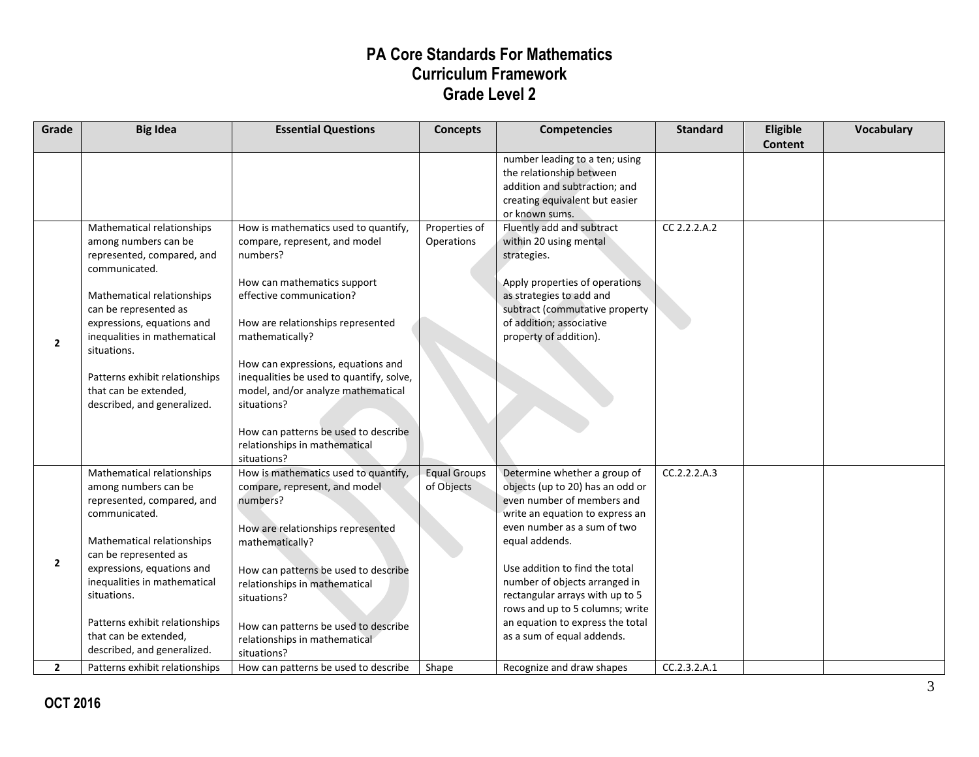| Grade        | <b>Big Idea</b>                                                                                                                                                                                                                                                                                                                 | <b>Essential Questions</b>                                                                                                                                                                                                                                                                                                                                                                                                          | <b>Concepts</b>                   | <b>Competencies</b>                                                                                                                                                                                                                                                                                                                                                                           | <b>Standard</b> | Eligible | Vocabulary |
|--------------|---------------------------------------------------------------------------------------------------------------------------------------------------------------------------------------------------------------------------------------------------------------------------------------------------------------------------------|-------------------------------------------------------------------------------------------------------------------------------------------------------------------------------------------------------------------------------------------------------------------------------------------------------------------------------------------------------------------------------------------------------------------------------------|-----------------------------------|-----------------------------------------------------------------------------------------------------------------------------------------------------------------------------------------------------------------------------------------------------------------------------------------------------------------------------------------------------------------------------------------------|-----------------|----------|------------|
|              |                                                                                                                                                                                                                                                                                                                                 |                                                                                                                                                                                                                                                                                                                                                                                                                                     |                                   | number leading to a ten; using<br>the relationship between<br>addition and subtraction; and<br>creating equivalent but easier<br>or known sums.                                                                                                                                                                                                                                               |                 | Content  |            |
| $\mathbf{2}$ | Mathematical relationships<br>among numbers can be<br>represented, compared, and<br>communicated.<br>Mathematical relationships<br>can be represented as<br>expressions, equations and<br>inequalities in mathematical<br>situations.<br>Patterns exhibit relationships<br>that can be extended,<br>described, and generalized. | How is mathematics used to quantify,<br>compare, represent, and model<br>numbers?<br>How can mathematics support<br>effective communication?<br>How are relationships represented<br>mathematically?<br>How can expressions, equations and<br>inequalities be used to quantify, solve,<br>model, and/or analyze mathematical<br>situations?<br>How can patterns be used to describe<br>relationships in mathematical<br>situations? | Properties of<br>Operations       | Fluently add and subtract<br>within 20 using mental<br>strategies.<br>Apply properties of operations<br>as strategies to add and<br>subtract (commutative property<br>of addition; associative<br>property of addition).                                                                                                                                                                      | CC 2.2.2.A.2    |          |            |
| $\mathbf{2}$ | Mathematical relationships<br>among numbers can be<br>represented, compared, and<br>communicated.<br>Mathematical relationships<br>can be represented as<br>expressions, equations and<br>inequalities in mathematical<br>situations.<br>Patterns exhibit relationships<br>that can be extended,<br>described, and generalized. | How is mathematics used to quantify,<br>compare, represent, and model<br>numbers?<br>How are relationships represented<br>mathematically?<br>How can patterns be used to describe<br>relationships in mathematical<br>situations?<br>How can patterns be used to describe<br>relationships in mathematical<br>situations?                                                                                                           | <b>Equal Groups</b><br>of Objects | Determine whether a group of<br>objects (up to 20) has an odd or<br>even number of members and<br>write an equation to express an<br>even number as a sum of two<br>equal addends.<br>Use addition to find the total<br>number of objects arranged in<br>rectangular arrays with up to 5<br>rows and up to 5 columns; write<br>an equation to express the total<br>as a sum of equal addends. | CC.2.2.2.A.3    |          |            |
| $\mathbf{2}$ | Patterns exhibit relationships                                                                                                                                                                                                                                                                                                  | How can patterns be used to describe                                                                                                                                                                                                                                                                                                                                                                                                | Shape                             | Recognize and draw shapes                                                                                                                                                                                                                                                                                                                                                                     | CC.2.3.2.A.1    |          |            |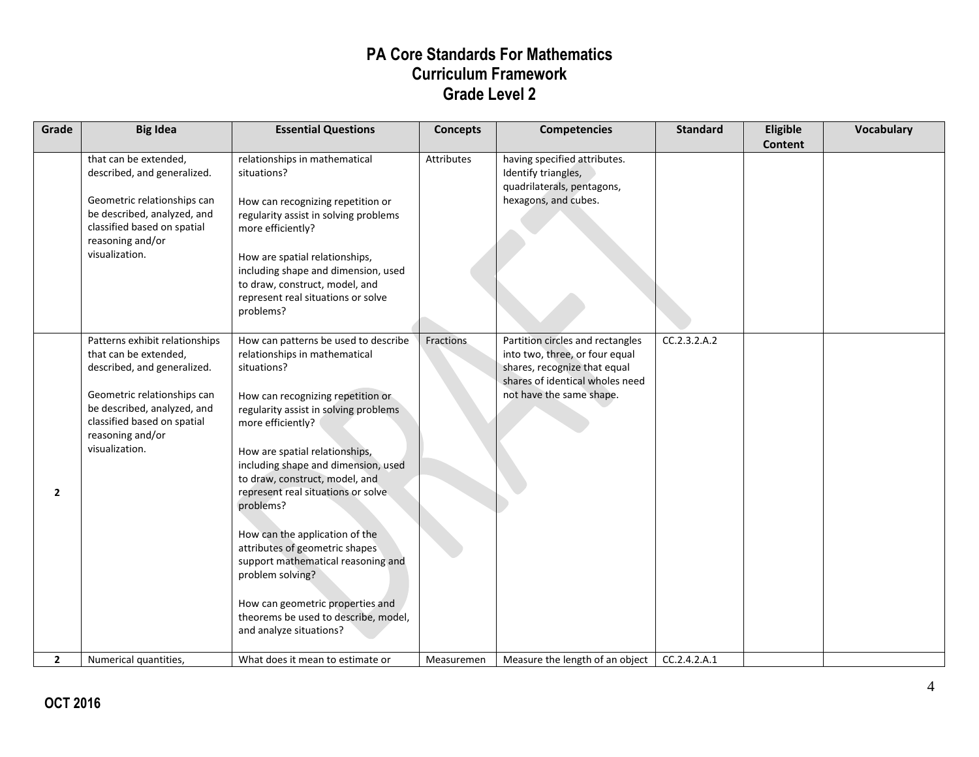| Grade        | <b>Big Idea</b>                                                                                                                                                                                                           | <b>Essential Questions</b>                                                                                                                                                                                                                                                                                                                                                                                                                                                                                                                                                                 | <b>Concepts</b> | <b>Competencies</b>                                                                                                                                               | <b>Standard</b> | Eligible<br><b>Content</b> | <b>Vocabulary</b> |
|--------------|---------------------------------------------------------------------------------------------------------------------------------------------------------------------------------------------------------------------------|--------------------------------------------------------------------------------------------------------------------------------------------------------------------------------------------------------------------------------------------------------------------------------------------------------------------------------------------------------------------------------------------------------------------------------------------------------------------------------------------------------------------------------------------------------------------------------------------|-----------------|-------------------------------------------------------------------------------------------------------------------------------------------------------------------|-----------------|----------------------------|-------------------|
|              | that can be extended,<br>described, and generalized.<br>Geometric relationships can<br>be described, analyzed, and<br>classified based on spatial<br>reasoning and/or<br>visualization.                                   | relationships in mathematical<br>situations?<br>How can recognizing repetition or<br>regularity assist in solving problems<br>more efficiently?<br>How are spatial relationships,<br>including shape and dimension, used<br>to draw, construct, model, and<br>represent real situations or solve<br>problems?                                                                                                                                                                                                                                                                              | Attributes      | having specified attributes.<br>Identify triangles,<br>quadrilaterals, pentagons,<br>hexagons, and cubes.                                                         |                 |                            |                   |
| $\mathbf{2}$ | Patterns exhibit relationships<br>that can be extended,<br>described, and generalized.<br>Geometric relationships can<br>be described, analyzed, and<br>classified based on spatial<br>reasoning and/or<br>visualization. | How can patterns be used to describe<br>relationships in mathematical<br>situations?<br>How can recognizing repetition or<br>regularity assist in solving problems<br>more efficiently?<br>How are spatial relationships,<br>including shape and dimension, used<br>to draw, construct, model, and<br>represent real situations or solve<br>problems?<br>How can the application of the<br>attributes of geometric shapes<br>support mathematical reasoning and<br>problem solving?<br>How can geometric properties and<br>theorems be used to describe, model,<br>and analyze situations? | Fractions       | Partition circles and rectangles<br>into two, three, or four equal<br>shares, recognize that equal<br>shares of identical wholes need<br>not have the same shape. | CC.2.3.2.A.2    |                            |                   |
| $\mathbf{2}$ | Numerical quantities,                                                                                                                                                                                                     | What does it mean to estimate or                                                                                                                                                                                                                                                                                                                                                                                                                                                                                                                                                           | Measuremen      | Measure the length of an object                                                                                                                                   | CC.2.4.2.A.1    |                            |                   |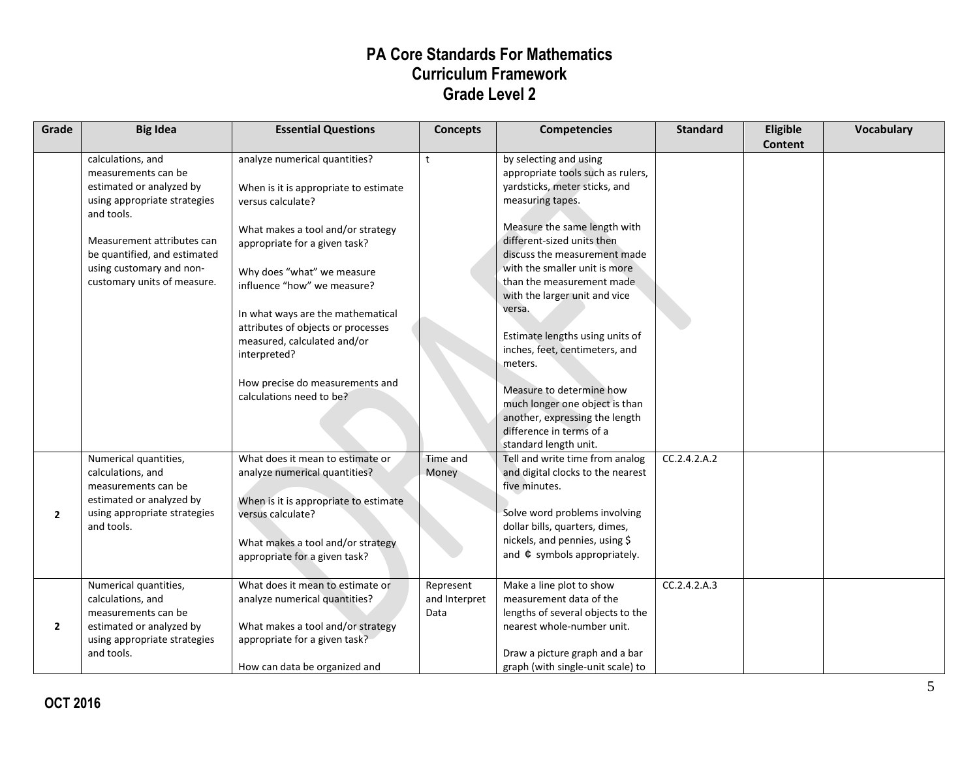| Grade          | <b>Big Idea</b>                                                                                                                                                                                                                             | <b>Essential Questions</b>                                                                                                                                                                                                                                                                                                                                                                                              | <b>Concepts</b>                    | <b>Competencies</b>                                                                                                                                                                                                                                                                                                                                                                                                                                                                                                                                          | <b>Standard</b> | Eligible<br><b>Content</b> | <b>Vocabulary</b> |
|----------------|---------------------------------------------------------------------------------------------------------------------------------------------------------------------------------------------------------------------------------------------|-------------------------------------------------------------------------------------------------------------------------------------------------------------------------------------------------------------------------------------------------------------------------------------------------------------------------------------------------------------------------------------------------------------------------|------------------------------------|--------------------------------------------------------------------------------------------------------------------------------------------------------------------------------------------------------------------------------------------------------------------------------------------------------------------------------------------------------------------------------------------------------------------------------------------------------------------------------------------------------------------------------------------------------------|-----------------|----------------------------|-------------------|
|                | calculations, and<br>measurements can be<br>estimated or analyzed by<br>using appropriate strategies<br>and tools.<br>Measurement attributes can<br>be quantified, and estimated<br>using customary and non-<br>customary units of measure. | analyze numerical quantities?<br>When is it is appropriate to estimate<br>versus calculate?<br>What makes a tool and/or strategy<br>appropriate for a given task?<br>Why does "what" we measure<br>influence "how" we measure?<br>In what ways are the mathematical<br>attributes of objects or processes<br>measured, calculated and/or<br>interpreted?<br>How precise do measurements and<br>calculations need to be? | $\mathsf{t}$                       | by selecting and using<br>appropriate tools such as rulers,<br>yardsticks, meter sticks, and<br>measuring tapes.<br>Measure the same length with<br>different-sized units then<br>discuss the measurement made<br>with the smaller unit is more<br>than the measurement made<br>with the larger unit and vice<br>versa.<br>Estimate lengths using units of<br>inches, feet, centimeters, and<br>meters.<br>Measure to determine how<br>much longer one object is than<br>another, expressing the length<br>difference in terms of a<br>standard length unit. |                 |                            |                   |
| $\overline{2}$ | Numerical quantities,<br>calculations, and<br>measurements can be<br>estimated or analyzed by<br>using appropriate strategies<br>and tools.                                                                                                 | What does it mean to estimate or<br>analyze numerical quantities?<br>When is it is appropriate to estimate<br>versus calculate?<br>What makes a tool and/or strategy<br>appropriate for a given task?                                                                                                                                                                                                                   | Time and<br>Money                  | Tell and write time from analog<br>and digital clocks to the nearest<br>five minutes.<br>Solve word problems involving<br>dollar bills, quarters, dimes,<br>nickels, and pennies, using \$<br>and $\Phi$ symbols appropriately.                                                                                                                                                                                                                                                                                                                              | CC.2.4.2.A.2    |                            |                   |
| $\mathbf{2}$   | Numerical quantities,<br>calculations, and<br>measurements can be<br>estimated or analyzed by<br>using appropriate strategies<br>and tools.                                                                                                 | What does it mean to estimate or<br>analyze numerical quantities?<br>What makes a tool and/or strategy<br>appropriate for a given task?<br>How can data be organized and                                                                                                                                                                                                                                                | Represent<br>and Interpret<br>Data | Make a line plot to show<br>measurement data of the<br>lengths of several objects to the<br>nearest whole-number unit.<br>Draw a picture graph and a bar<br>graph (with single-unit scale) to                                                                                                                                                                                                                                                                                                                                                                | CC.2.4.2.A.3    |                            |                   |